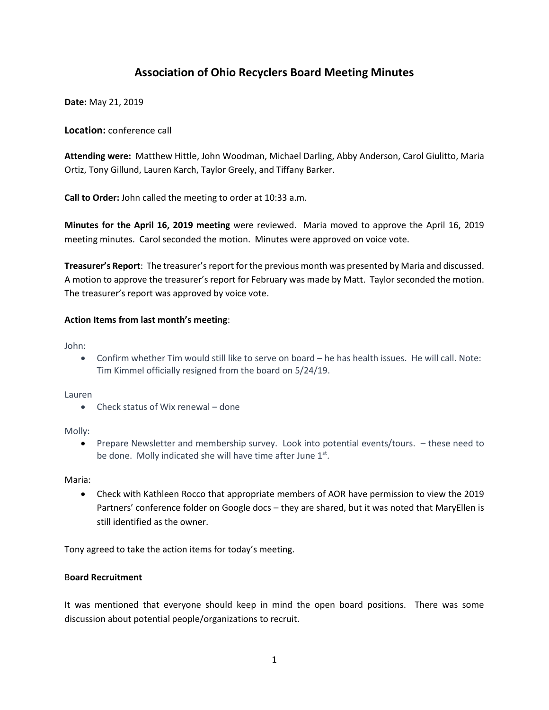# **Association of Ohio Recyclers Board Meeting Minutes**

**Date:** May 21, 2019

**Location:** conference call

**Attending were:** Matthew Hittle, John Woodman, Michael Darling, Abby Anderson, Carol Giulitto, Maria Ortiz, Tony Gillund, Lauren Karch, Taylor Greely, and Tiffany Barker.

**Call to Order:** John called the meeting to order at 10:33 a.m.

**Minutes for the April 16, 2019 meeting** were reviewed. Maria moved to approve the April 16, 2019 meeting minutes. Carol seconded the motion. Minutes were approved on voice vote.

**Treasurer's Report**: The treasurer's report for the previous month was presented by Maria and discussed. A motion to approve the treasurer's report for February was made by Matt. Taylor seconded the motion. The treasurer's report was approved by voice vote.

### **Action Items from last month's meeting**:

John:

• Confirm whether Tim would still like to serve on board – he has health issues. He will call. Note: Tim Kimmel officially resigned from the board on 5/24/19.

Lauren

• Check status of Wix renewal – done

Molly:

• Prepare Newsletter and membership survey. Look into potential events/tours. – these need to be done. Molly indicated she will have time after June  $1<sup>st</sup>$ .

Maria:

• Check with Kathleen Rocco that appropriate members of AOR have permission to view the 2019 Partners' conference folder on Google docs – they are shared, but it was noted that MaryEllen is still identified as the owner.

Tony agreed to take the action items for today's meeting.

## B**oard Recruitment**

It was mentioned that everyone should keep in mind the open board positions. There was some discussion about potential people/organizations to recruit.